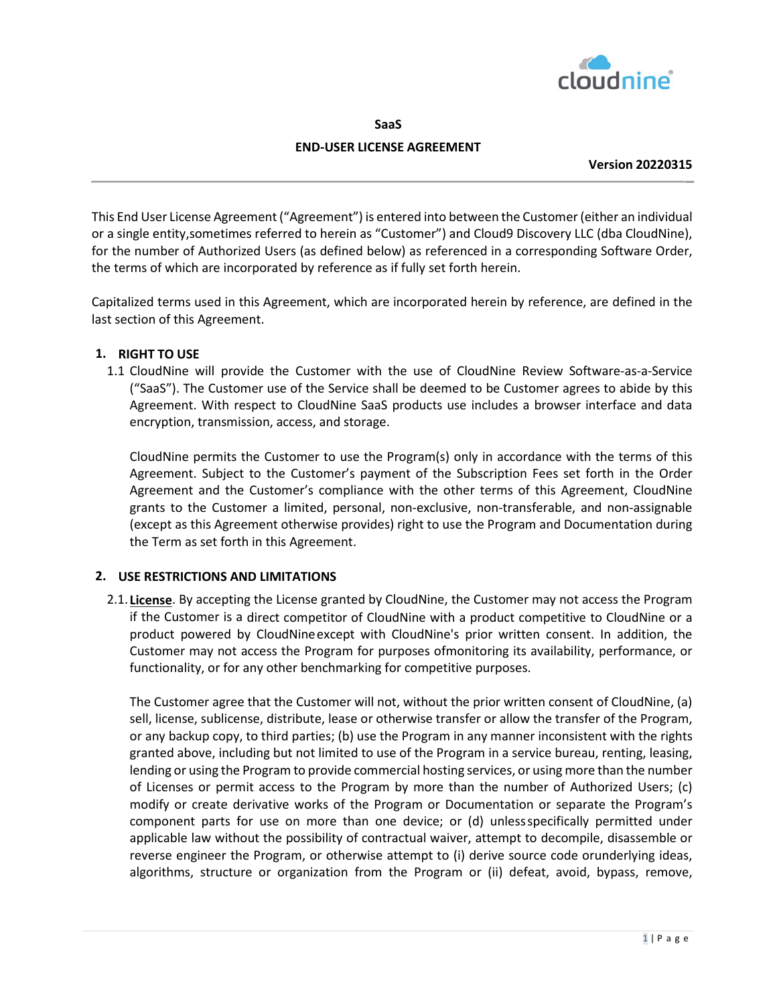

**SaaS**

# **END-USER LICENSE AGREEMENT**

**Version 20220315**

This End User License Agreement ("Agreement") is entered into between the Customer (either an individual or a single entity,sometimes referred to herein as "Customer") and Cloud9 Discovery LLC (dba CloudNine), for the number of Authorized Users (as defined below) as referenced in a corresponding Software Order, the terms of which are incorporated by reference as if fully set forth herein.

Capitalized terms used in this Agreement, which are incorporated herein by reference, are defined in the last section of this Agreement.

# **1. RIGHT TO USE**

1.1 CloudNine will provide the Customer with the use of CloudNine Review Software-as-a-Service ("SaaS"). The Customer use of the Service shall be deemed to be Customer agrees to abide by this Agreement. With respect to CloudNine SaaS products use includes a browser interface and data encryption, transmission, access, and storage.

CloudNine permits the Customer to use the Program(s) only in accordance with the terms of this Agreement. Subject to the Customer's payment of the Subscription Fees set forth in the Order Agreement and the Customer's compliance with the other terms of this Agreement, CloudNine grants to the Customer a limited, personal, non-exclusive, non-transferable, and non-assignable (except as this Agreement otherwise provides) right to use the Program and Documentation during the Term as set forth in this Agreement.

#### **2. USE RESTRICTIONS AND LIMITATIONS**

2.1. **License**. By accepting the License granted by CloudNine, the Customer may not access the Program if the Customer is a direct competitor of CloudNine with a product competitive to CloudNine or a product powered by CloudNineexcept with CloudNine's prior written consent. In addition, the Customer may not access the Program for purposes ofmonitoring its availability, performance, or functionality, or for any other benchmarking for competitive purposes.

The Customer agree that the Customer will not, without the prior written consent of CloudNine, (a) sell, license, sublicense, distribute, lease or otherwise transfer or allow the transfer of the Program, or any backup copy, to third parties; (b) use the Program in any manner inconsistent with the rights granted above, including but not limited to use of the Program in a service bureau, renting, leasing, lending or using the Program to provide commercial hosting services, or using more than the number of Licenses or permit access to the Program by more than the number of Authorized Users; (c) modify or create derivative works of the Program or Documentation or separate the Program's component parts for use on more than one device; or (d) unlessspecifically permitted under applicable law without the possibility of contractual waiver, attempt to decompile, disassemble or reverse engineer the Program, or otherwise attempt to (i) derive source code orunderlying ideas, algorithms, structure or organization from the Program or (ii) defeat, avoid, bypass, remove,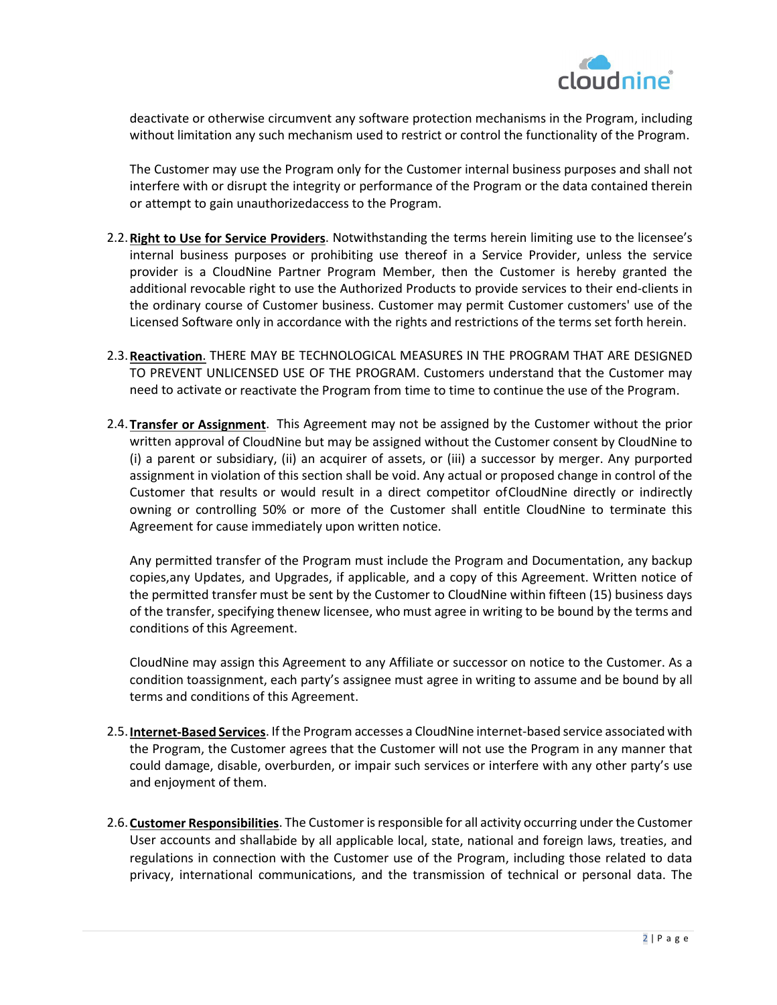

deactivate or otherwise circumvent any software protection mechanisms in the Program, including without limitation any such mechanism used to restrict or control the functionality of the Program.

The Customer may use the Program only for the Customer internal business purposes and shall not interfere with or disrupt the integrity or performance of the Program or the data contained therein or attempt to gain unauthorizedaccess to the Program.

- 2.2.**Right to Use for Service Providers**. Notwithstanding the terms herein limiting use to the licensee's internal business purposes or prohibiting use thereof in a Service Provider, unless the service provider is a CloudNine Partner Program Member, then the Customer is hereby granted the additional revocable right to use the Authorized Products to provide services to their end-clients in the ordinary course of Customer business. Customer may permit Customer customers' use of the Licensed Software only in accordance with the rights and restrictions of the terms set forth herein.
- 2.3.**Reactivation**. THERE MAY BE TECHNOLOGICAL MEASURES IN THE PROGRAM THAT ARE DESIGNED TO PREVENT UNLICENSED USE OF THE PROGRAM. Customers understand that the Customer may need to activate or reactivate the Program from time to time to continue the use of the Program.
- 2.4.**Transfer or Assignment**. This Agreement may not be assigned by the Customer without the prior written approval of CloudNine but may be assigned without the Customer consent by CloudNine to (i) a parent or subsidiary, (ii) an acquirer of assets, or (iii) a successor by merger. Any purported assignment in violation of this section shall be void. Any actual or proposed change in control of the Customer that results or would result in a direct competitor ofCloudNine directly or indirectly owning or controlling 50% or more of the Customer shall entitle CloudNine to terminate this Agreement for cause immediately upon written notice.

Any permitted transfer of the Program must include the Program and Documentation, any backup copies,any Updates, and Upgrades, if applicable, and a copy of this Agreement. Written notice of the permitted transfer must be sent by the Customer to CloudNine within fifteen (15) business days of the transfer, specifying thenew licensee, who must agree in writing to be bound by the terms and conditions of this Agreement.

CloudNine may assign this Agreement to any Affiliate or successor on notice to the Customer. As a condition toassignment, each party's assignee must agree in writing to assume and be bound by all terms and conditions of this Agreement.

- 2.5.**Internet-Based Services**. If the Program accesses a CloudNine internet-based service associated with the Program, the Customer agrees that the Customer will not use the Program in any manner that could damage, disable, overburden, or impair such services or interfere with any other party's use and enjoyment of them.
- 2.6.**Customer Responsibilities**. The Customer is responsible for all activity occurring under the Customer User accounts and shallabide by all applicable local, state, national and foreign laws, treaties, and regulations in connection with the Customer use of the Program, including those related to data privacy, international communications, and the transmission of technical or personal data. The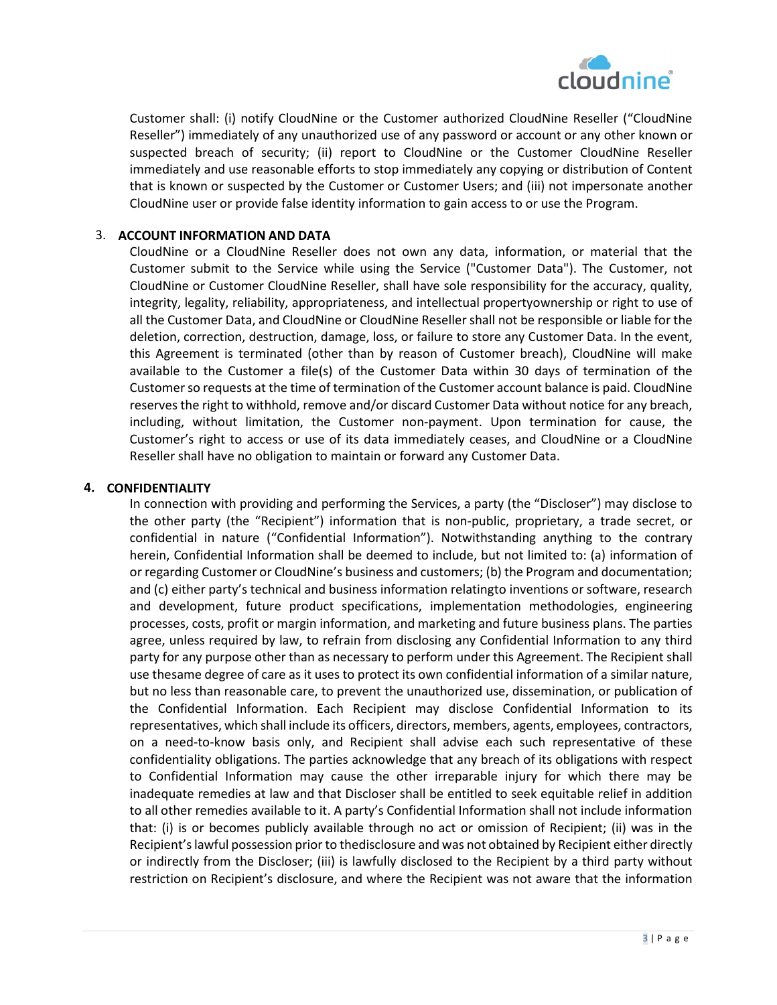

Customer shall: (i) notify CloudNine or the Customer authorized CloudNine Reseller ("CloudNine Reseller") immediately of any unauthorized use of any password or account or any other known or suspected breach of security; (ii) report to CloudNine or the Customer CloudNine Reseller immediately and use reasonable efforts to stop immediately any copying or distribution of Content that is known or suspected by the Customer or Customer Users; and (iii) not impersonate another CloudNine user or provide false identity information to gain access to or use the Program.

### 3. **ACCOUNT INFORMATION AND DATA**

CloudNine or a CloudNine Reseller does not own any data, information, or material that the Customer submit to the Service while using the Service ("Customer Data"). The Customer, not CloudNine or Customer CloudNine Reseller, shall have sole responsibility for the accuracy, quality, integrity, legality, reliability, appropriateness, and intellectual propertyownership or right to use of all the Customer Data, and CloudNine or CloudNine Reseller shall not be responsible or liable for the deletion, correction, destruction, damage, loss, or failure to store any Customer Data. In the event, this Agreement is terminated (other than by reason of Customer breach), CloudNine will make available to the Customer a file(s) of the Customer Data within 30 days of termination of the Customer so requests at the time of termination of the Customer account balance is paid. CloudNine reserves the right to withhold, remove and/or discard Customer Data without notice for any breach, including, without limitation, the Customer non-payment. Upon termination for cause, the Customer's right to access or use of its data immediately ceases, and CloudNine or a CloudNine Reseller shall have no obligation to maintain or forward any Customer Data.

#### **4. CONFIDENTIALITY**

In connection with providing and performing the Services, a party (the "Discloser") may disclose to the other party (the "Recipient") information that is non-public, proprietary, a trade secret, or confidential in nature ("Confidential Information"). Notwithstanding anything to the contrary herein, Confidential Information shall be deemed to include, but not limited to: (a) information of or regarding Customer or CloudNine's business and customers; (b) the Program and documentation; and (c) either party's technical and business information relatingto inventions or software, research and development, future product specifications, implementation methodologies, engineering processes, costs, profit or margin information, and marketing and future business plans. The parties agree, unless required by law, to refrain from disclosing any Confidential Information to any third party for any purpose other than as necessary to perform under this Agreement. The Recipient shall use thesame degree of care as it uses to protect its own confidential information of a similar nature, but no less than reasonable care, to prevent the unauthorized use, dissemination, or publication of the Confidential Information. Each Recipient may disclose Confidential Information to its representatives, which shall include its officers, directors, members, agents, employees, contractors, on a need-to-know basis only, and Recipient shall advise each such representative of these confidentiality obligations. The parties acknowledge that any breach of its obligations with respect to Confidential Information may cause the other irreparable injury for which there may be inadequate remedies at law and that Discloser shall be entitled to seek equitable relief in addition to all other remedies available to it. A party's Confidential Information shall not include information that: (i) is or becomes publicly available through no act or omission of Recipient; (ii) was in the Recipient's lawful possession prior to thedisclosure and was not obtained by Recipient either directly or indirectly from the Discloser; (iii) is lawfully disclosed to the Recipient by a third party without restriction on Recipient's disclosure, and where the Recipient was not aware that the information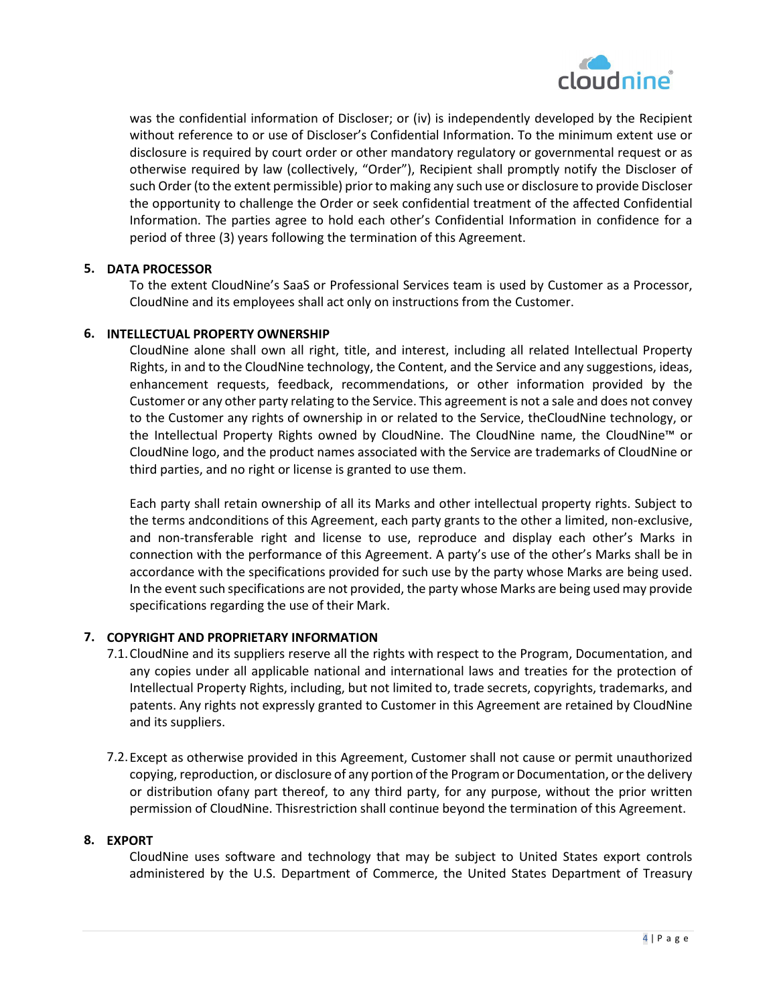

was the confidential information of Discloser; or (iv) is independently developed by the Recipient without reference to or use of Discloser's Confidential Information. To the minimum extent use or disclosure is required by court order or other mandatory regulatory or governmental request or as otherwise required by law (collectively, "Order"), Recipient shall promptly notify the Discloser of such Order (to the extent permissible) prior to making any such use or disclosure to provide Discloser the opportunity to challenge the Order or seek confidential treatment of the affected Confidential Information. The parties agree to hold each other's Confidential Information in confidence for a period of three (3) years following the termination of this Agreement.

## **5. DATA PROCESSOR**

To the extent CloudNine's SaaS or Professional Services team is used by Customer as a Processor, CloudNine and its employees shall act only on instructions from the Customer.

#### **6. INTELLECTUAL PROPERTY OWNERSHIP**

CloudNine alone shall own all right, title, and interest, including all related Intellectual Property Rights, in and to the CloudNine technology, the Content, and the Service and any suggestions, ideas, enhancement requests, feedback, recommendations, or other information provided by the Customer or any other party relating to the Service. This agreement is not a sale and does not convey to the Customer any rights of ownership in or related to the Service, theCloudNine technology, or the Intellectual Property Rights owned by CloudNine. The CloudNine name, the CloudNine™ or CloudNine logo, and the product names associated with the Service are trademarks of CloudNine or third parties, and no right or license is granted to use them.

Each party shall retain ownership of all its Marks and other intellectual property rights. Subject to the terms andconditions of this Agreement, each party grants to the other a limited, non-exclusive, and non-transferable right and license to use, reproduce and display each other's Marks in connection with the performance of this Agreement. A party's use of the other's Marks shall be in accordance with the specifications provided for such use by the party whose Marks are being used. In the event such specifications are not provided, the party whose Marks are being used may provide specifications regarding the use of their Mark.

#### **7. COPYRIGHT AND PROPRIETARY INFORMATION**

- 7.1.CloudNine and its suppliers reserve all the rights with respect to the Program, Documentation, and any copies under all applicable national and international laws and treaties for the protection of Intellectual Property Rights, including, but not limited to, trade secrets, copyrights, trademarks, and patents. Any rights not expressly granted to Customer in this Agreement are retained by CloudNine and its suppliers.
- 7.2.Except as otherwise provided in this Agreement, Customer shall not cause or permit unauthorized copying, reproduction, or disclosure of any portion of the Program or Documentation, or the delivery or distribution ofany part thereof, to any third party, for any purpose, without the prior written permission of CloudNine. Thisrestriction shall continue beyond the termination of this Agreement.

## **8. EXPORT**

CloudNine uses software and technology that may be subject to United States export controls administered by the U.S. Department of Commerce, the United States Department of Treasury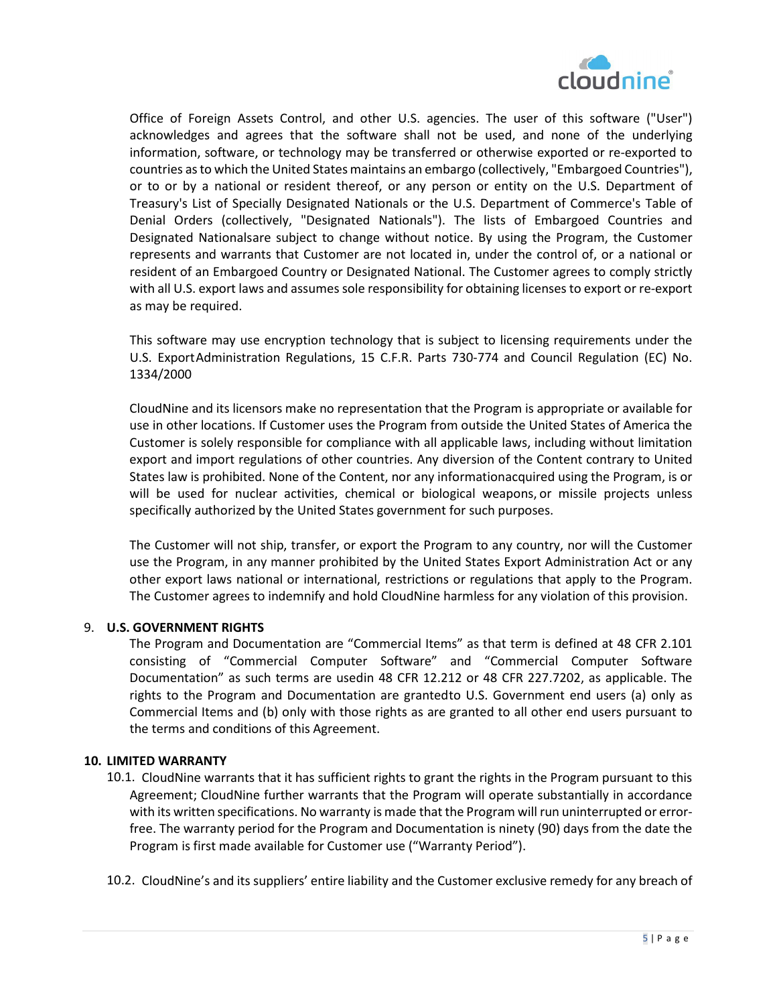

Office of Foreign Assets Control, and other U.S. agencies. The user of this software ("User") acknowledges and agrees that the software shall not be used, and none of the underlying information, software, or technology may be transferred or otherwise exported or re-exported to countries as to which the United States maintains an embargo (collectively, "Embargoed Countries"), or to or by a national or resident thereof, or any person or entity on the U.S. Department of Treasury's List of Specially Designated Nationals or the U.S. Department of Commerce's Table of Denial Orders (collectively, "Designated Nationals"). The lists of Embargoed Countries and Designated Nationalsare subject to change without notice. By using the Program, the Customer represents and warrants that Customer are not located in, under the control of, or a national or resident of an Embargoed Country or Designated National. The Customer agrees to comply strictly with all U.S. export laws and assumes sole responsibility for obtaining licenses to export or re-export as may be required.

This software may use encryption technology that is subject to licensing requirements under the U.S. ExportAdministration Regulations, 15 C.F.R. Parts 730-774 and Council Regulation (EC) No. 1334/2000

CloudNine and its licensors make no representation that the Program is appropriate or available for use in other locations. If Customer uses the Program from outside the United States of America the Customer is solely responsible for compliance with all applicable laws, including without limitation export and import regulations of other countries. Any diversion of the Content contrary to United States law is prohibited. None of the Content, nor any informationacquired using the Program, is or will be used for nuclear activities, chemical or biological weapons, or missile projects unless specifically authorized by the United States government for such purposes.

The Customer will not ship, transfer, or export the Program to any country, nor will the Customer use the Program, in any manner prohibited by the United States Export Administration Act or any other export laws national or international, restrictions or regulations that apply to the Program. The Customer agrees to indemnify and hold CloudNine harmless for any violation of this provision.

#### 9. **U.S. GOVERNMENT RIGHTS**

The Program and Documentation are "Commercial Items" as that term is defined at 48 CFR 2.101 consisting of "Commercial Computer Software" and "Commercial Computer Software Documentation" as such terms are usedin 48 CFR 12.212 or 48 CFR 227.7202, as applicable. The rights to the Program and Documentation are grantedto U.S. Government end users (a) only as Commercial Items and (b) only with those rights as are granted to all other end users pursuant to the terms and conditions of this Agreement.

#### **10. LIMITED WARRANTY**

10.1. CloudNine warrants that it has sufficient rights to grant the rights in the Program pursuant to this Agreement; CloudNine further warrants that the Program will operate substantially in accordance with its written specifications. No warranty is made that the Program will run uninterrupted or errorfree. The warranty period for the Program and Documentation is ninety (90) days from the date the Program is first made available for Customer use ("Warranty Period").

10.2. CloudNine's and its suppliers' entire liability and the Customer exclusive remedy for any breach of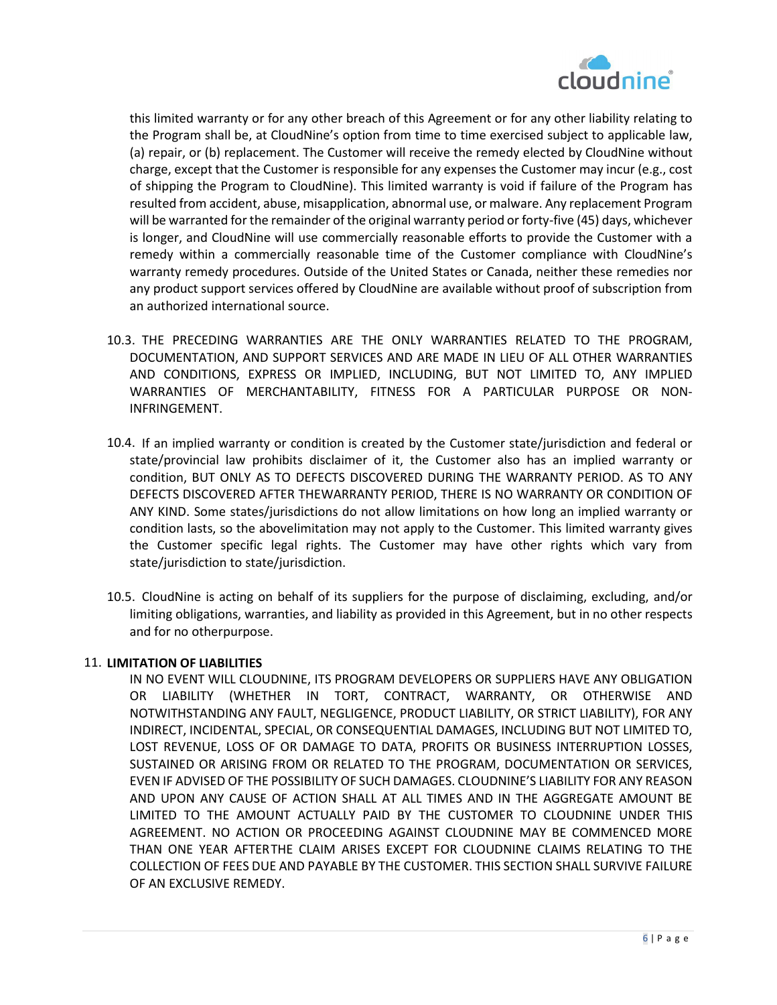

this limited warranty or for any other breach of this Agreement or for any other liability relating to the Program shall be, at CloudNine's option from time to time exercised subject to applicable law, (a) repair, or (b) replacement. The Customer will receive the remedy elected by CloudNine without charge, except that the Customer is responsible for any expenses the Customer may incur (e.g., cost of shipping the Program to CloudNine). This limited warranty is void if failure of the Program has resulted from accident, abuse, misapplication, abnormal use, or malware. Any replacement Program will be warranted for the remainder of the original warranty period or forty-five (45) days, whichever is longer, and CloudNine will use commercially reasonable efforts to provide the Customer with a remedy within a commercially reasonable time of the Customer compliance with CloudNine's warranty remedy procedures. Outside of the United States or Canada, neither these remedies nor any product support services offered by CloudNine are available without proof of subscription from an authorized international source.

- 10.3. THE PRECEDING WARRANTIES ARE THE ONLY WARRANTIES RELATED TO THE PROGRAM, DOCUMENTATION, AND SUPPORT SERVICES AND ARE MADE IN LIEU OF ALL OTHER WARRANTIES AND CONDITIONS, EXPRESS OR IMPLIED, INCLUDING, BUT NOT LIMITED TO, ANY IMPLIED WARRANTIES OF MERCHANTABILITY, FITNESS FOR A PARTICULAR PURPOSE OR NON-INFRINGEMENT.
- 10.4. If an implied warranty or condition is created by the Customer state/jurisdiction and federal or state/provincial law prohibits disclaimer of it, the Customer also has an implied warranty or condition, BUT ONLY AS TO DEFECTS DISCOVERED DURING THE WARRANTY PERIOD. AS TO ANY DEFECTS DISCOVERED AFTER THEWARRANTY PERIOD, THERE IS NO WARRANTY OR CONDITION OF ANY KIND. Some states/jurisdictions do not allow limitations on how long an implied warranty or condition lasts, so the abovelimitation may not apply to the Customer. This limited warranty gives the Customer specific legal rights. The Customer may have other rights which vary from state/jurisdiction to state/jurisdiction.
- 10.5. CloudNine is acting on behalf of its suppliers for the purpose of disclaiming, excluding, and/or limiting obligations, warranties, and liability as provided in this Agreement, but in no other respects and for no otherpurpose.

#### 11. **LIMITATION OF LIABILITIES**

IN NO EVENT WILL CLOUDNINE, ITS PROGRAM DEVELOPERS OR SUPPLIERS HAVE ANY OBLIGATION OR LIABILITY (WHETHER IN TORT, CONTRACT, WARRANTY, OR OTHERWISE AND NOTWITHSTANDING ANY FAULT, NEGLIGENCE, PRODUCT LIABILITY, OR STRICT LIABILITY), FOR ANY INDIRECT, INCIDENTAL, SPECIAL, OR CONSEQUENTIAL DAMAGES, INCLUDING BUT NOT LIMITED TO, LOST REVENUE, LOSS OF OR DAMAGE TO DATA, PROFITS OR BUSINESS INTERRUPTION LOSSES, SUSTAINED OR ARISING FROM OR RELATED TO THE PROGRAM, DOCUMENTATION OR SERVICES, EVEN IF ADVISED OF THE POSSIBILITY OF SUCH DAMAGES. CLOUDNINE'S LIABILITY FOR ANY REASON AND UPON ANY CAUSE OF ACTION SHALL AT ALL TIMES AND IN THE AGGREGATE AMOUNT BE LIMITED TO THE AMOUNT ACTUALLY PAID BY THE CUSTOMER TO CLOUDNINE UNDER THIS AGREEMENT. NO ACTION OR PROCEEDING AGAINST CLOUDNINE MAY BE COMMENCED MORE THAN ONE YEAR AFTERTHE CLAIM ARISES EXCEPT FOR CLOUDNINE CLAIMS RELATING TO THE COLLECTION OF FEES DUE AND PAYABLE BY THE CUSTOMER. THIS SECTION SHALL SURVIVE FAILURE OF AN EXCLUSIVE REMEDY.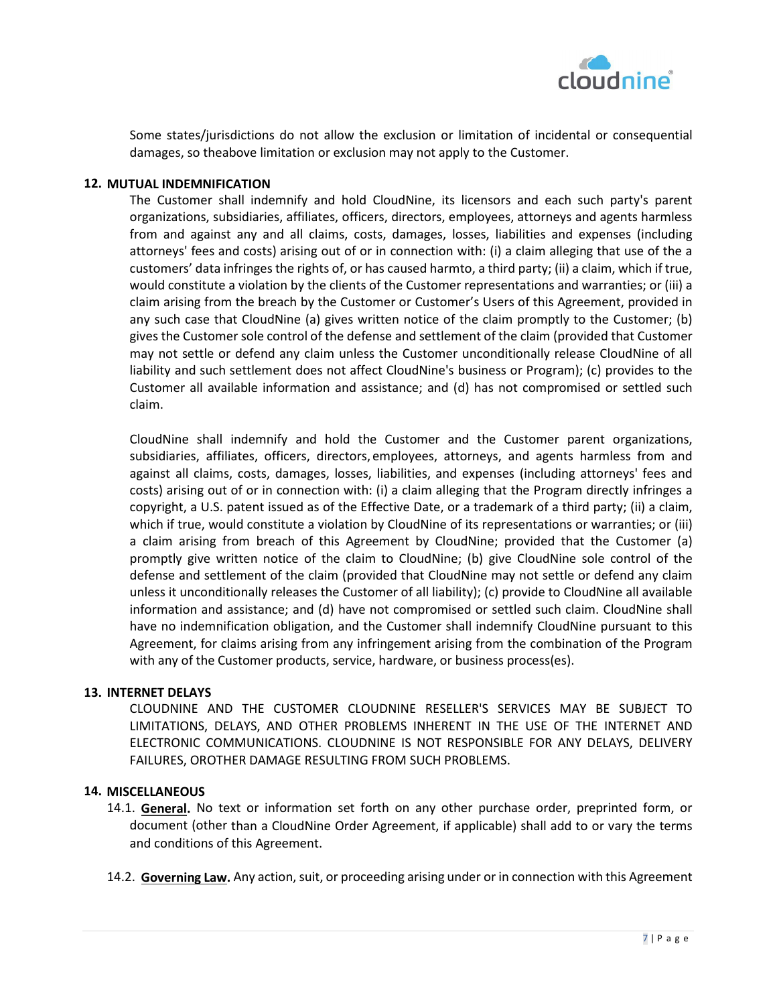

Some states/jurisdictions do not allow the exclusion or limitation of incidental or consequential damages, so theabove limitation or exclusion may not apply to the Customer.

### **12. MUTUAL INDEMNIFICATION**

The Customer shall indemnify and hold CloudNine, its licensors and each such party's parent organizations, subsidiaries, affiliates, officers, directors, employees, attorneys and agents harmless from and against any and all claims, costs, damages, losses, liabilities and expenses (including attorneys' fees and costs) arising out of or in connection with: (i) a claim alleging that use of the a customers' data infringes the rights of, or has caused harmto, a third party; (ii) a claim, which if true, would constitute a violation by the clients of the Customer representations and warranties; or (iii) a claim arising from the breach by the Customer or Customer's Users of this Agreement, provided in any such case that CloudNine (a) gives written notice of the claim promptly to the Customer; (b) gives the Customer sole control of the defense and settlement of the claim (provided that Customer may not settle or defend any claim unless the Customer unconditionally release CloudNine of all liability and such settlement does not affect CloudNine's business or Program); (c) provides to the Customer all available information and assistance; and (d) has not compromised or settled such claim.

CloudNine shall indemnify and hold the Customer and the Customer parent organizations, subsidiaries, affiliates, officers, directors, employees, attorneys, and agents harmless from and against all claims, costs, damages, losses, liabilities, and expenses (including attorneys' fees and costs) arising out of or in connection with: (i) a claim alleging that the Program directly infringes a copyright, a U.S. patent issued as of the Effective Date, or a trademark of a third party; (ii) a claim, which if true, would constitute a violation by CloudNine of its representations or warranties; or (iii) a claim arising from breach of this Agreement by CloudNine; provided that the Customer (a) promptly give written notice of the claim to CloudNine; (b) give CloudNine sole control of the defense and settlement of the claim (provided that CloudNine may not settle or defend any claim unless it unconditionally releases the Customer of all liability); (c) provide to CloudNine all available information and assistance; and (d) have not compromised or settled such claim. CloudNine shall have no indemnification obligation, and the Customer shall indemnify CloudNine pursuant to this Agreement, for claims arising from any infringement arising from the combination of the Program with any of the Customer products, service, hardware, or business process(es).

#### **13. INTERNET DELAYS**

CLOUDNINE AND THE CUSTOMER CLOUDNINE RESELLER'S SERVICES MAY BE SUBJECT TO LIMITATIONS, DELAYS, AND OTHER PROBLEMS INHERENT IN THE USE OF THE INTERNET AND ELECTRONIC COMMUNICATIONS. CLOUDNINE IS NOT RESPONSIBLE FOR ANY DELAYS, DELIVERY FAILURES, OROTHER DAMAGE RESULTING FROM SUCH PROBLEMS.

#### **14. MISCELLANEOUS**

- 14.1. **General.** No text or information set forth on any other purchase order, preprinted form, or document (other than a CloudNine Order Agreement, if applicable) shall add to or vary the terms and conditions of this Agreement.
- 14.2. **Governing Law.** Any action, suit, or proceeding arising under or in connection with this Agreement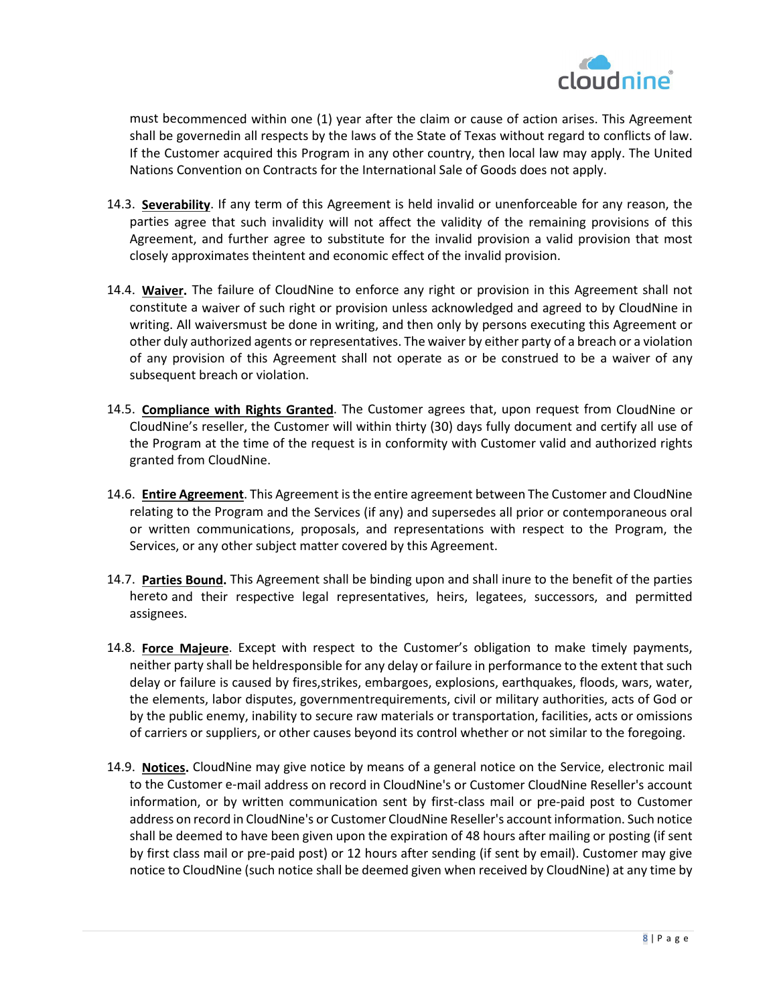

must becommenced within one (1) year after the claim or cause of action arises. This Agreement shall be governedin all respects by the laws of the State of Texas without regard to conflicts of law. If the Customer acquired this Program in any other country, then local law may apply. The United Nations Convention on Contracts for the International Sale of Goods does not apply.

- 14.3. **Severability**. If any term of this Agreement is held invalid or unenforceable for any reason, the parties agree that such invalidity will not affect the validity of the remaining provisions of this Agreement, and further agree to substitute for the invalid provision a valid provision that most closely approximates theintent and economic effect of the invalid provision.
- 14.4. **Waiver.** The failure of CloudNine to enforce any right or provision in this Agreement shall not constitute a waiver of such right or provision unless acknowledged and agreed to by CloudNine in writing. All waiversmust be done in writing, and then only by persons executing this Agreement or other duly authorized agents or representatives. The waiver by either party of a breach or a violation of any provision of this Agreement shall not operate as or be construed to be a waiver of any subsequent breach or violation.
- 14.5. **Compliance with Rights Granted**. The Customer agrees that, upon request from CloudNine or CloudNine's reseller, the Customer will within thirty (30) days fully document and certify all use of the Program at the time of the request is in conformity with Customer valid and authorized rights granted from CloudNine.
- 14.6. **Entire Agreement**. This Agreement is the entire agreement between The Customer and CloudNine relating to the Program and the Services (if any) and supersedes all prior or contemporaneous oral or written communications, proposals, and representations with respect to the Program, the Services, or any other subject matter covered by this Agreement.
- 14.7. **Parties Bound.** This Agreement shall be binding upon and shall inure to the benefit of the parties hereto and their respective legal representatives, heirs, legatees, successors, and permitted assignees.
- 14.8. **Force Majeure**. Except with respect to the Customer's obligation to make timely payments, neither party shall be heldresponsible for any delay or failure in performance to the extent that such delay or failure is caused by fires,strikes, embargoes, explosions, earthquakes, floods, wars, water, the elements, labor disputes, governmentrequirements, civil or military authorities, acts of God or by the public enemy, inability to secure raw materials or transportation, facilities, acts or omissions of carriers or suppliers, or other causes beyond its control whether or not similar to the foregoing.
- 14.9. **Notices.** CloudNine may give notice by means of a general notice on the Service, electronic mail to the Customer e-mail address on record in CloudNine's or Customer CloudNine Reseller's account information, or by written communication sent by first-class mail or pre-paid post to Customer address on record in CloudNine's or Customer CloudNine Reseller's account information. Such notice shall be deemed to have been given upon the expiration of 48 hours after mailing or posting (if sent by first class mail or pre-paid post) or 12 hours after sending (if sent by email). Customer may give notice to CloudNine (such notice shall be deemed given when received by CloudNine) at any time by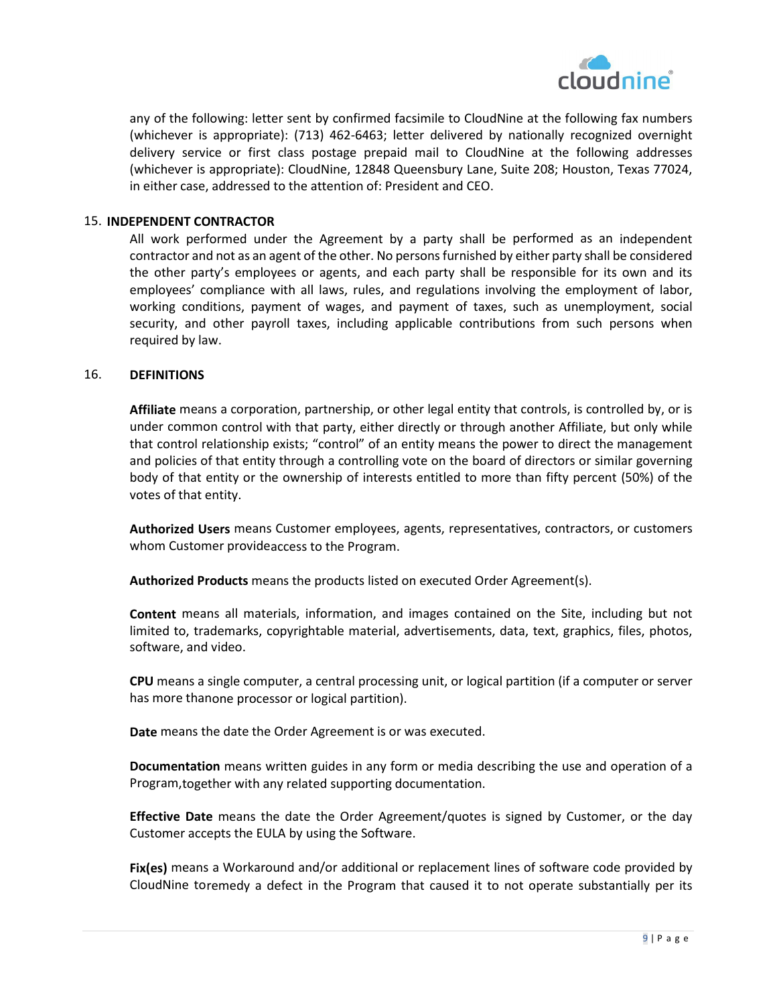

any of the following: letter sent by confirmed facsimile to CloudNine at the following fax numbers (whichever is appropriate): (713) 462-6463; letter delivered by nationally recognized overnight delivery service or first class postage prepaid mail to CloudNine at the following addresses (whichever is appropriate): CloudNine, 12848 Queensbury Lane, Suite 208; Houston, Texas 77024, in either case, addressed to the attention of: President and CEO.

#### 15. **INDEPENDENT CONTRACTOR**

All work performed under the Agreement by a party shall be performed as an independent contractor and not as an agent of the other. No persons furnished by either party shall be considered the other party's employees or agents, and each party shall be responsible for its own and its employees' compliance with all laws, rules, and regulations involving the employment of labor, working conditions, payment of wages, and payment of taxes, such as unemployment, social security, and other payroll taxes, including applicable contributions from such persons when required by law.

#### 16. **DEFINITIONS**

**Affiliate** means a corporation, partnership, or other legal entity that controls, is controlled by, or is under common control with that party, either directly or through another Affiliate, but only while that control relationship exists; "control" of an entity means the power to direct the management and policies of that entity through a controlling vote on the board of directors or similar governing body of that entity or the ownership of interests entitled to more than fifty percent (50%) of the votes of that entity.

**Authorized Users** means Customer employees, agents, representatives, contractors, or customers whom Customer provideaccess to the Program.

**Authorized Products** means the products listed on executed Order Agreement(s).

**Content** means all materials, information, and images contained on the Site, including but not limited to, trademarks, copyrightable material, advertisements, data, text, graphics, files, photos, software, and video.

**CPU** means a single computer, a central processing unit, or logical partition (if a computer or server has more thanone processor or logical partition).

**Date** means the date the Order Agreement is or was executed.

**Documentation** means written guides in any form or media describing the use and operation of a Program,together with any related supporting documentation.

**Effective Date** means the date the Order Agreement/quotes is signed by Customer, or the day Customer accepts the EULA by using the Software.

**Fix(es)** means a Workaround and/or additional or replacement lines of software code provided by CloudNine toremedy a defect in the Program that caused it to not operate substantially per its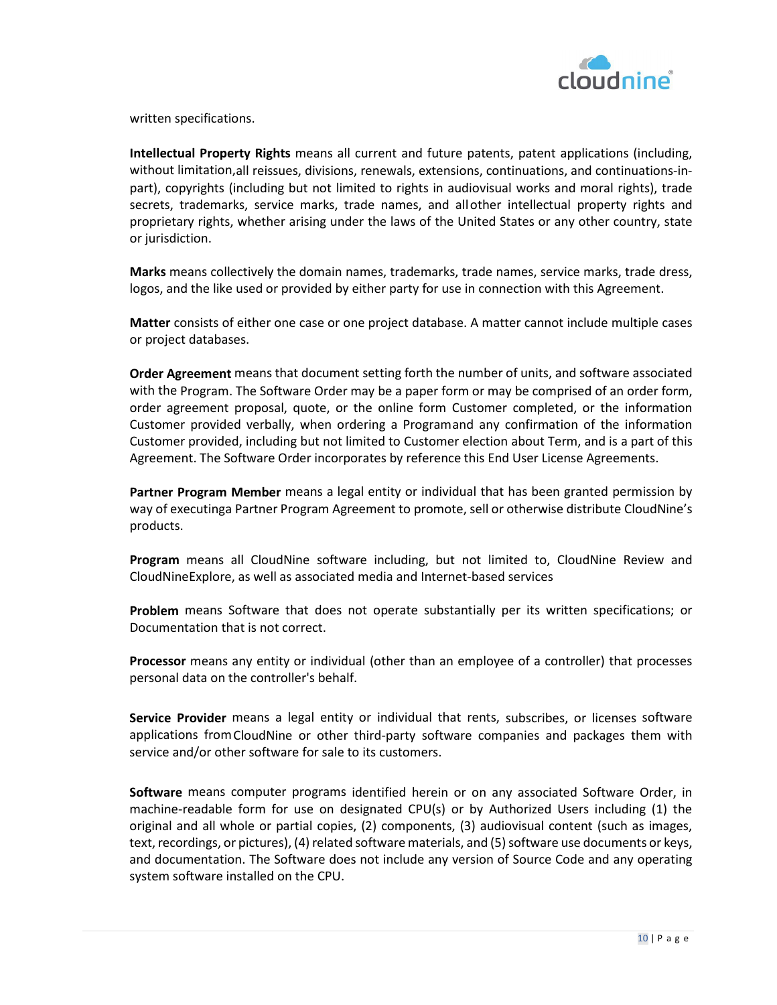

written specifications.

**Intellectual Property Rights** means all current and future patents, patent applications (including, without limitation,all reissues, divisions, renewals, extensions, continuations, and continuations-inpart), copyrights (including but not limited to rights in audiovisual works and moral rights), trade secrets, trademarks, service marks, trade names, and allother intellectual property rights and proprietary rights, whether arising under the laws of the United States or any other country, state or jurisdiction.

**Marks** means collectively the domain names, trademarks, trade names, service marks, trade dress, logos, and the like used or provided by either party for use in connection with this Agreement.

**Matter** consists of either one case or one project database. A matter cannot include multiple cases or project databases.

**Order Agreement** means that document setting forth the number of units, and software associated with the Program. The Software Order may be a paper form or may be comprised of an order form, order agreement proposal, quote, or the online form Customer completed, or the information Customer provided verbally, when ordering a Programand any confirmation of the information Customer provided, including but not limited to Customer election about Term, and is a part of this Agreement. The Software Order incorporates by reference this End User License Agreements.

**Partner Program Member** means a legal entity or individual that has been granted permission by way of executinga Partner Program Agreement to promote, sell or otherwise distribute CloudNine's products.

**Program** means all CloudNine software including, but not limited to, CloudNine Review and CloudNineExplore, as well as associated media and Internet-based services

**Problem** means Software that does not operate substantially per its written specifications; or Documentation that is not correct.

**Processor** means any entity or individual (other than an employee of a controller) that processes personal data on the controller's behalf.

**Service Provider** means a legal entity or individual that rents, subscribes, or licenses software applications fromCloudNine or other third-party software companies and packages them with service and/or other software for sale to its customers.

**Software** means computer programs identified herein or on any associated Software Order, in machine-readable form for use on designated CPU(s) or by Authorized Users including (1) the original and all whole or partial copies, (2) components, (3) audiovisual content (such as images, text, recordings, or pictures), (4) related software materials, and (5) software use documents or keys, and documentation. The Software does not include any version of Source Code and any operating system software installed on the CPU.